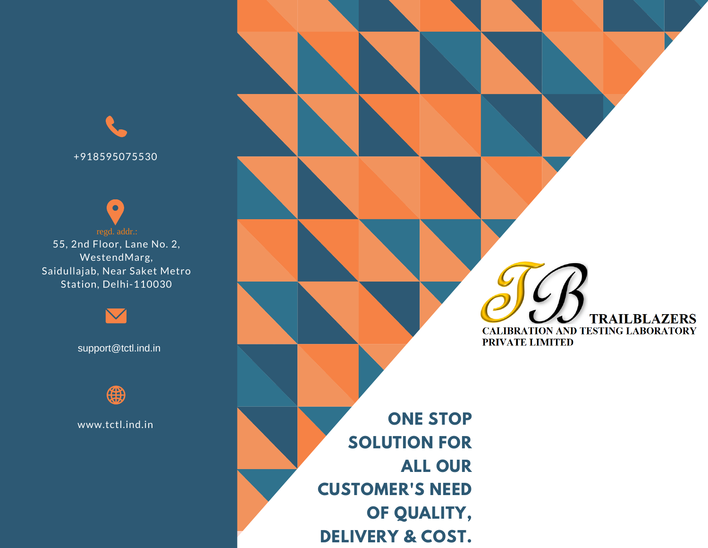+918595075530

55, 2nd Floor, Lane No. 2, WestendMarg, Saidullajab, Near Saket Metro Station, Delhi-110030

support@tctl.ind.in



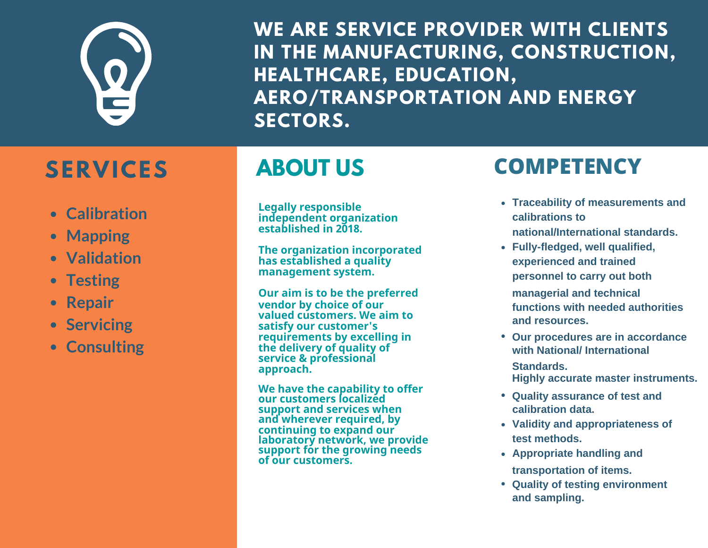

**WE ARE SERVICE PROVIDER WITH CLIENTS IN THE MANUFACTURING, CONSTRUCTION, HEALTHCARE, EDUCATION, AERO/TRANSPORTATION AND ENERGY SECTORS.**

# **SERVICES**

# **ABOUT US**

- **Calibration**
- **Mapping**
- **Validation**
- **Testing**
- **Repair**
- **Servicing**
- **Consulting**

independent organization<br>established in 2018 established in 2018. **Legally responsible independent organization established in 2018.** 

**The organization incorporated has established a quality management system.**

**Our aim is to be the preferred managerial and technical vendor by choice of our valued customers. We aim to satisfy our customer's requirements by excelling in the delivery of quality of service & professional approach.**

preferred **our customers localized** support and services when **We have the capability to offer and wherever required, by continuing to expand our laboratory network, we provide support for the growing needs of our customers.**

## **COMPETENCY**

- **Traceability of measurements and calibrations to national/International standards.**
- **Fully-fledged, well qualified, experienced and trained personnel to carry out both and resources. functions with needed authorities**
- **with National/ International Our procedures are in accordance**
	- **Standards. Highly accurate master instruments.**
- **calibration data. • Ouality assurance of test and**
- **Validity and appropriateness of test methods.**
- **Appropriate handling and transportation of items.**
- **and sampling. Quality of testing environment**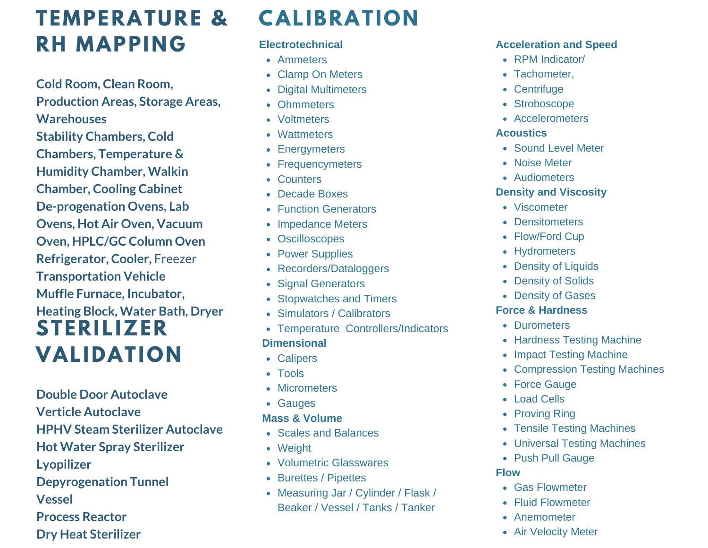## **TEMPERATURE & RH MAPPING**

**Cold Room, Clean Room, Production Areas, Storage Areas, Warehouses Stability Chambers, Cold Chambers, Temperature & Humidity Chamber, Walkin Chamber, Cooling Cabinet De-progenation Ovens, Lab Ovens, Hot Air Oven, Vacuum Oven, HPLC/GC Column Oven Refrigerator, Cooler,** Freezer **Transportation Vehicle Muffle Furnace, Incubator, Heating Block, Water Bath, Dryer STERILIZER VALIDATION**

**Double Door Autoclave Verticle Autoclave HPHV Steam Sterilizer Autoclave Hot Water Spray Sterilizer Lyopilizer Depyrogenation Tunnel Vessel Process Reactor Dry Heat Sterilizer**

## **CALIBRATION**

### **Electrotechnical**

- Ammeters
- Clamp On Meters
- Digital Multimeters
- Ohmmeters
- Voltmeters
- Wattmeters
- Energymeters
- Frequencymeters
- Counters
- Decade Boxes
- **Function Generators**
- Impedance Meters
- Oscilloscopes
- Power Supplies
- Recorders/Dataloggers
- Signal Generators
- Stopwatches and Timers
- Simulators / Calibrators
- Temperature Controllers/Indicators **Dimensional**
- Calipers
- Tools
- Micrometers
- Gauges

## **Mass & Volume**

- Scales and Balances
- Weight
- Volumetric Glasswares
- Burettes / Pipettes
- Measuring Jar / Cylinder / Flask / Beaker / Vessel / Tanks / Tanker

### **Acceleration and Speed**

- RPM Indicator/
- Tachometer.
- Centrifuge
- Stroboscope
- Accelerometers

### **Acoustics**

- Sound Level Meter
- Noise Meter
- Audiometers

## **Density and Viscosity**

- Viscometer
- **Densitometers**
- Flow/Ford Cup
- Hydrometers
- Density of Liquids
- Density of Solids
- Density of Gases

## **Force & Hardness**

- Durometers
- Hardness Testing Machine
- Impact Testing Machine
- Compression Testing Machines
- Force Gauge
- Load Cells
- Proving Ring
- Tensile Testing Machines
- Universal Testing Machines
- Push Pull Gauge

### **Flow**

- Gas Flowmeter
- Fluid Flowmeter
- Anemometer
- Air Velocity Meter